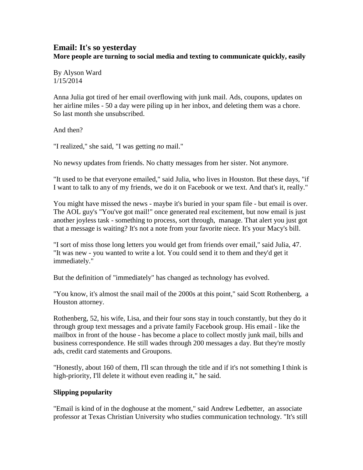## **Email: It's so yesterday More people are turning to social media and texting to communicate quickly, easily**

By Alyson Ward 1/15/2014

Anna Julia got tired of her email overflowing with junk mail. Ads, coupons, updates on her airline miles - 50 a day were piling up in her inbox, and deleting them was a chore. So last month she unsubscribed.

And then?

"I realized," she said, "I was getting *no* mail."

No newsy updates from friends. No chatty messages from her sister. Not anymore.

"It used to be that everyone emailed," said Julia, who lives in Houston. But these days, "if I want to talk to any of my friends, we do it on Facebook or we text. And that's it, really."

You might have missed the news - maybe it's buried in your spam file - but email is over. The AOL guy's "You've got mail!" once generated real excitement, but now email is just another joyless task - something to process, sort through, manage. That alert you just got that a message is waiting? It's not a note from your favorite niece. It's your Macy's bill.

"I sort of miss those long letters you would get from friends over email," said Julia, 47. "It was new - you wanted to write a lot. You could send it to them and they'd get it immediately."

But the definition of "immediately" has changed as technology has evolved.

"You know, it's almost the snail mail of the 2000s at this point," said Scott Rothenberg, a Houston attorney.

Rothenberg, 52, his wife, Lisa, and their four sons stay in touch constantly, but they do it through group text messages and a private family Facebook group. His email - like the mailbox in front of the house - has become a place to collect mostly junk mail, bills and business correspondence. He still wades through 200 messages a day. But they're mostly ads, credit card statements and Groupons.

"Honestly, about 160 of them, I'll scan through the title and if it's not something I think is high-priority, I'll delete it without even reading it," he said.

## **Slipping popularity**

"Email is kind of in the doghouse at the moment," said Andrew Ledbetter, an associate professor at Texas Christian University who studies communication technology. "It's still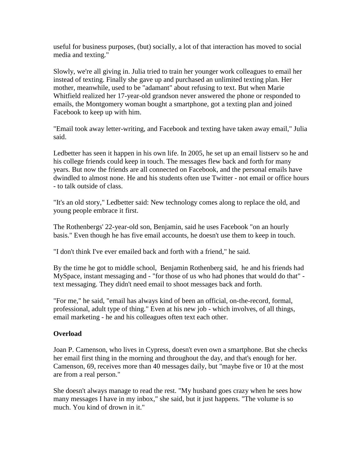useful for business purposes, (but) socially, a lot of that interaction has moved to social media and texting."

Slowly, we're all giving in. Julia tried to train her younger work colleagues to email her instead of texting. Finally she gave up and purchased an unlimited texting plan. Her mother, meanwhile, used to be "adamant" about refusing to text. But when Marie Whitfield realized her 17-year-old grandson never answered the phone or responded to emails, the Montgomery woman bought a smartphone, got a texting plan and joined Facebook to keep up with him.

"Email took away letter-writing, and Facebook and texting have taken away email," Julia said.

Ledbetter has seen it happen in his own life. In 2005, he set up an email listserv so he and his college friends could keep in touch. The messages flew back and forth for many years. But now the friends are all connected on Facebook, and the personal emails have dwindled to almost none. He and his students often use Twitter - not email or office hours - to talk outside of class.

"It's an old story," Ledbetter said: New technology comes along to replace the old, and young people embrace it first.

The Rothenbergs' 22-year-old son, Benjamin, said he uses Facebook "on an hourly basis." Even though he has five email accounts, he doesn't use them to keep in touch.

"I don't think I've ever emailed back and forth with a friend," he said.

By the time he got to middle school, Benjamin Rothenberg said, he and his friends had MySpace, instant messaging and - "for those of us who had phones that would do that" text messaging. They didn't need email to shoot messages back and forth.

"For me," he said, "email has always kind of been an official, on-the-record, formal, professional, adult type of thing." Even at his new job - which involves, of all things, email marketing - he and his colleagues often text each other.

## **Overload**

Joan P. Camenson, who lives in Cypress, doesn't even own a smartphone. But she checks her email first thing in the morning and throughout the day, and that's enough for her. Camenson, 69, receives more than 40 messages daily, but "maybe five or 10 at the most are from a real person."

She doesn't always manage to read the rest. "My husband goes crazy when he sees how many messages I have in my inbox," she said, but it just happens. "The volume is so much. You kind of drown in it."